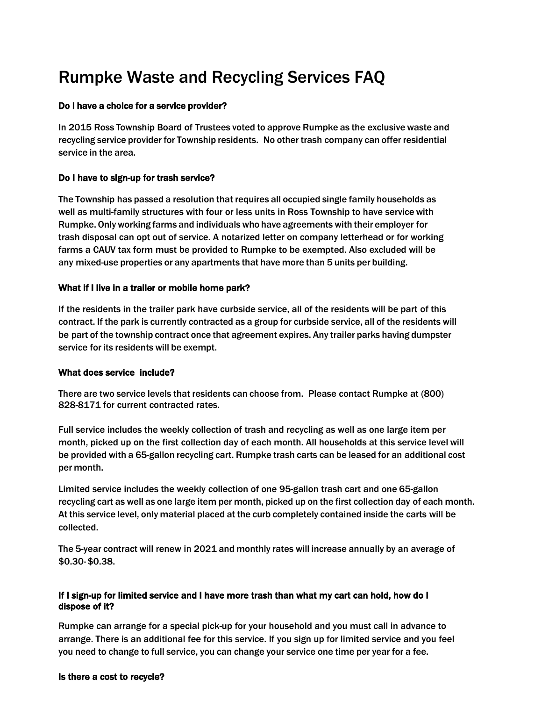# Rumpke Waste and Recycling Services FAQ

#### Do I have a choice for a service provider?

In 2015 Ross Township Board of Trustees voted to approve Rumpke as the exclusive waste and recycling service provider for Township residents. No other trash company can offer residential service in the area.

#### Do I have to sign-up for trash service?

The Township has passed a resolution that requires all occupied single family households as well as multi-family structures with four or less units in Ross Township to have service with Rumpke. Onlyworking farms and individuals who have agreements with their employer for trash disposal can opt out of service. A notarized letter on company letterhead or for working farms a CAUV tax form must be provided to Rumpke to be exempted. Also excluded will be any mixed-use properties or any apartments that have more than 5 units per building.

#### What if I live in a trailer or mobile home park?

If the residents in the trailer park have curbside service, all of the residents will be part of this contract. If the park is currently contracted as a group for curbside service, all of the residents will be part of the township contract once that agreement expires. Any trailer parks having dumpster service for its residents will be exempt.

#### What does service include?

There are two service levels that residents can choose from. Please contact Rumpke at (800) 828-8171 for current contracted rates.

Full service includes the weekly collection of trash and recycling as well as one large item per month, picked up on the first collection day of each month. All households at this service level will be provided with a 65-gallon recycling cart. Rumpke trash carts can be leased for an additional cost per month.

Limited service includes the weekly collection of one 95-gallon trash cart and one 65-gallon recycling cart as well as one large item per month, picked up on the first collection day of each month. At this service level, only material placed at the curb completely contained inside the carts will be collected.

The 5-year contract will renew in 2021 and monthly rates will increase annually by an average of \$0.30- \$0.38.

#### If I sign-up for limited service and I have more trash than what my cart can hold, how do I dispose of it?

Rumpke can arrange for a special pick-up for your household and you must call in advance to arrange. There is an additional fee for this service. If you sign up for limited service and you feel you need to change to full service, you can change your service one time per year for a fee.

#### Is there a cost to recycle?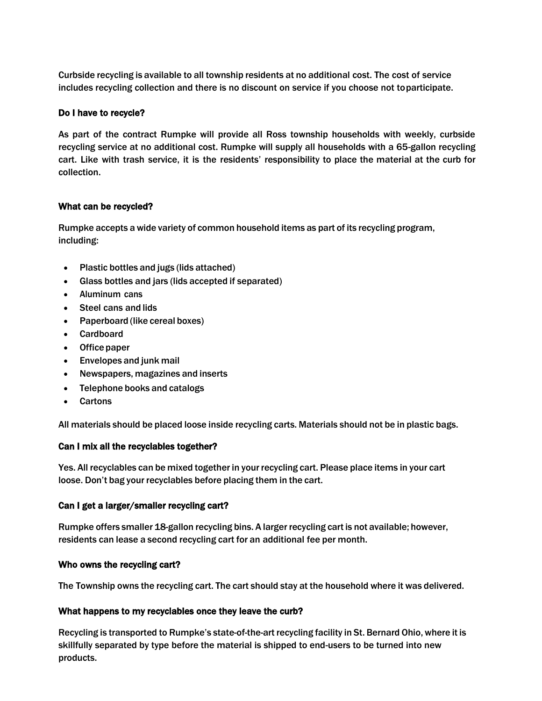Curbside recycling is available to all township residents at no additional cost. The cost of service includes recycling collection and there is no discount on service if you choose not toparticipate.

### Do I have to recycle?

As part of the contract Rumpke will provide all Ross township households with weekly, curbside recycling service at no additional cost. Rumpke will supply all households with a 65-gallon recycling cart. Like with trash service, it is the residents' responsibility to place the material at the curb for collection.

#### What can be recycled?

Rumpke accepts a wide variety of common household items as part of its recycling program, including:

- Plastic bottles and jugs (lids attached)
- Glass bottles and jars (lids accepted if separated)
- Aluminum cans
- Steel cans and lids
- Paperboard (like cereal boxes)
- Cardboard
- Office paper
- Envelopes and junk mail
- Newspapers, magazines and inserts
- Telephone books and catalogs
- Cartons

All materials should be placed loose inside recycling carts. Materials should not be in plastic bags.

## Can I mix all the recyclables together?

Yes. All recyclables can be mixed together in your recycling cart. Please place items in your cart loose. Don't bag your recyclables before placing them in the cart.

#### Can I get a larger/smaller recycling cart?

Rumpke offers smaller 18-gallon recycling bins. A larger recycling cart is not available; however, residents can lease a second recycling cart for an additional fee per month.

## Who owns the recycling cart?

The Township owns the recycling cart. The cart should stay at the household where it was delivered.

## What happens to my recyclables once they leave the curb?

Recycling is transported to Rumpke's state-of-the-art recycling facility in St. Bernard Ohio, where it is skillfully separated by type before the material is shipped to end-users to be turned into new products.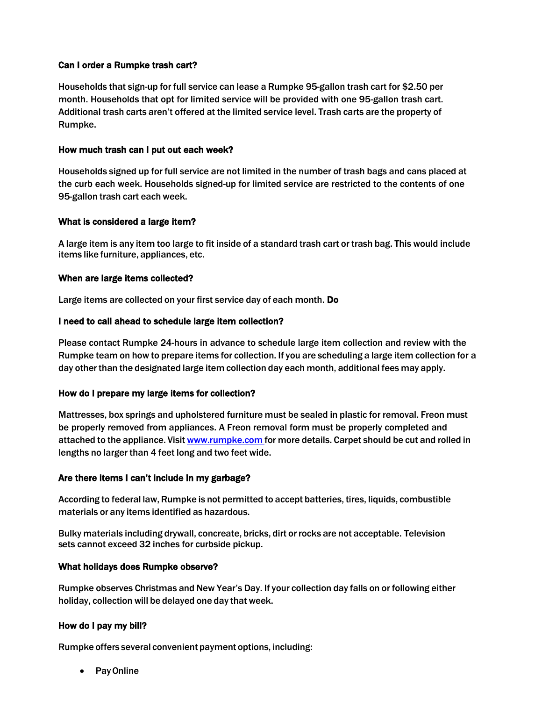### Can I order a Rumpke trash cart?

Households that sign-up for full service can lease a Rumpke 95-gallon trash cart for \$2.50 per month. Households that opt for limited service will be provided with one 95-gallon trash cart. Additional trash carts aren't offered at the limited service level. Trash carts are the property of Rumpke.

#### How much trash can I put out each week?

Households signed up for full service are not limited in the number of trash bags and cans placed at the curb each week. Households signed-up for limited service are restricted to the contents of one 95-gallon trash cart each week.

#### What is considered a large item?

A large item is any item too large to fit inside of a standard trash cart or trash bag. This would include items like furniture, appliances, etc.

#### When are large items collected?

Large items are collected on your first service day of each month. Do

#### I need to call ahead to schedule large item collection?

Please contact Rumpke 24-hours in advance to schedule large item collection and review with the Rumpke team on how to prepare items for collection. If you are scheduling a large item collection for a day other than the designated large item collection day each month, additional fees may apply.

#### How do I prepare my large items for collection?

Mattresses, box springs and upholstered furniture must be sealed in plastic for removal. Freon must be properly removed from appliances. A Freon removal form must be properly completed and attached to the appliance. Visit [www.rumpke.com](http://www.rumpke.com/) for more details. Carpet should be cut and rolled in lengths no larger than 4 feet long and two feet wide.

#### Are there items I can't include in my garbage?

According to federal law, Rumpke is not permitted to accept batteries, tires, liquids, combustible materials or any items identified as hazardous.

Bulky materials including drywall, concreate, bricks, dirt or rocks are not acceptable. Television sets cannot exceed 32 inches for curbside pickup.

#### What holidays does Rumpke observe?

Rumpke observes Christmas and New Year's Day. If your collection day falls on or following either holiday, collection will be delayed one day that week.

#### How do I pay my bill?

Rumpke offers several convenient payment options, including:

• Pay Online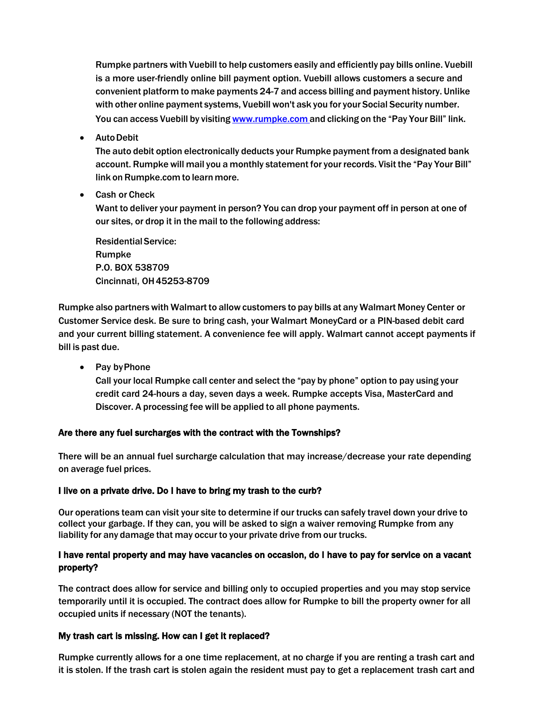Rumpke partners with Vuebill to help customers easily and efficiently pay bills online. Vuebill is a more user-friendly online bill payment option. Vuebill allows customers a secure and convenient platform to make payments 24-7 and access billing and payment history. Unlike with other online payment systems, Vuebill won't ask you for your Social Security number. You can access Vuebill by visiting [www.rumpke.com](http://www.rumpke.com/) and clicking on the "Pay Your Bill" link.

AutoDebit

The auto debit option electronically deducts your Rumpke payment from a designated bank account. Rumpke will mail you a monthly statement for your records. Visit the "Pay Your Bill" link on Rumpke.com to learn more.

Cash or Check

Want to deliver your payment in person? You can drop your payment off in person at one of our sites, or drop it in the mail to the following address:

ResidentialService: Rumpke P.O. BOX 538709 Cincinnati, OH45253-8709

Rumpke also partnerswith Walmart to allowcustomers to pay bills at any Walmart Money Center or Customer Service desk. Be sure to bring cash, your Walmart MoneyCard or a PIN-based debit card and your current billing statement. A convenience fee will apply. Walmart cannot accept payments if bill is past due.

• Pay by Phone

Call your local Rumpke call center and select the "pay by phone" option to pay using your credit card 24-hours a day, seven days a week. Rumpke accepts Visa, MasterCard and Discover. A processing fee will be applied to all phone payments.

## Are there any fuel surcharges with the contract with the Townships?

There will be an annual fuel surcharge calculation that may increase/decrease your rate depending on average fuel prices.

## I live on a private drive. Do I have to bring my trash to the curb?

Our operations team can visit your site to determine if our trucks can safely travel down your drive to collect your garbage. If they can, you will be asked to sign a waiver removing Rumpke from any liability for any damage that may occur to your private drive from our trucks.

## I have rental property and may have vacancies on occasion, do I have to pay for service on a vacant property?

The contract does allow for service and billing only to occupied properties and you may stop service temporarily until it is occupied. The contract does allow for Rumpke to bill the property owner for all occupied units if necessary (NOT the tenants).

## My trash cart is missing. How can I get it replaced?

Rumpke currently allows for a one time replacement, at no charge if you are renting a trash cart and it is stolen. If the trash cart is stolen again the resident must pay to get a replacement trash cart and